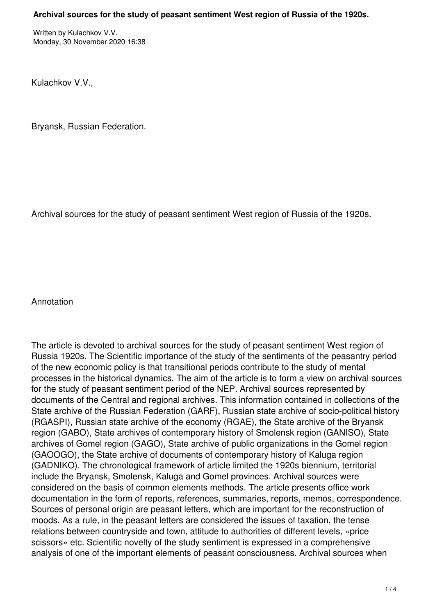Written by Kulachkov V.V. Monday, 30 November 2020 16:38

Kulachkov V.V.,

Bryansk, Russian Federation.

Archival sources for the study of peasant sentiment West region of Russia of the 1920s.

Annotation

The article is devoted to archival sources for the study of peasant sentiment West region of Russia 1920s. The Scientific importance of the study of the sentiments of the peasantry period of the new economic policy is that transitional periods contribute to the study of mental processes in the historical dynamics. The aim of the article is to form a view on archival sources for the study of peasant sentiment period of the NEP. Archival sources represented by documents of the Central and regional archives. This information contained in collections of the State archive of the Russian Federation (GARF), Russian state archive of socio-political history (RGASPI), Russian state archive of the economy (RGAE), the State archive of the Bryansk region (GABO), State archives of contemporary history of Smolensk region (GANISO), State archives of Gomel region (GAGO), State archive of public organizations in the Gomel region (GAOOGO), the State archive of documents of contemporary history of Kaluga region (GADNIKO). The chronological framework of article limited the 1920s biennium, territorial include the Bryansk, Smolensk, Kaluga and Gomel provinces. Archival sources were considered on the basis of common elements methods. The article presents office work documentation in the form of reports, references, summaries, reports, memos, correspondence. Sources of personal origin are peasant letters, which are important for the reconstruction of moods. As a rule, in the peasant letters are considered the issues of taxation, the tense relations between countryside and town, attitude to authorities of different levels, «price scissors» etc. Scientific novelty of the study sentiment is expressed in a comprehensive analysis of one of the important elements of peasant consciousness. Archival sources when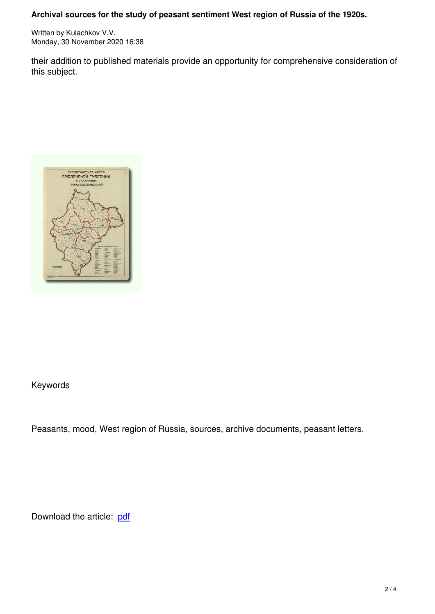Written by Kulachkov V.V. (1995). The state of the state of the state of the state of the state of the state o

their addition to published materials provide an opportunity for comprehensive consideration of this subject.



## Keywords

Peasants, mood, West region of Russia, sources, archive documents, peasant letters.

Download the article: pdf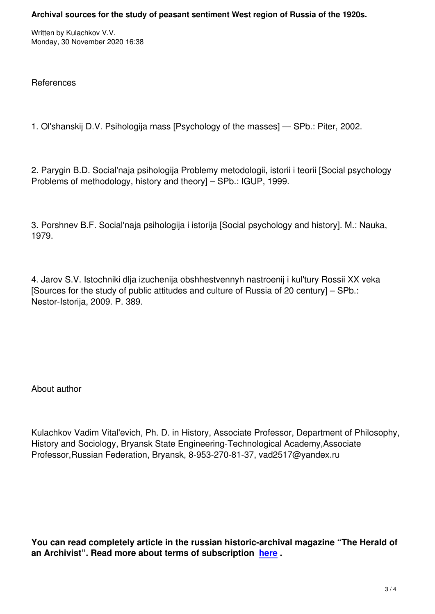References

1. Ol'shanskij D.V. Psihologija mass [Psychology of the masses] — SPb.: Piter, 2002.

2. Parygin B.D. Social'naja psihologija Problemy metodologii, istorii i teorii [Social psychology Problems of methodology, history and theory] – SPb.: IGUP, 1999.

3. Porshnev B.F. Social'naja psihologija i istorija [Social psychology and history]. M.: Nauka, 1979.

4. Jarov S.V. Istochniki dlja izuchenija obshhestvennyh nastroenij i kul'tury Rossii XX veka [Sources for the study of public attitudes and culture of Russia of 20 century] – SPb.: Nestor-Istorija, 2009. P. 389.

About author

Kulachkov Vadim Vital'evich, Ph. D. in History, Associate Professor, Department of Philosophy, History and Sociology, Bryansk State Engineering-Technological Academy,Associate Professor,Russian Federation, Bryansk, 8-953-270-81-37, vad2517@yandex.ru

**You can read completely article in the russian historic-archival magazine "The Herald of an Archivist". Read more about terms of subscription here .**